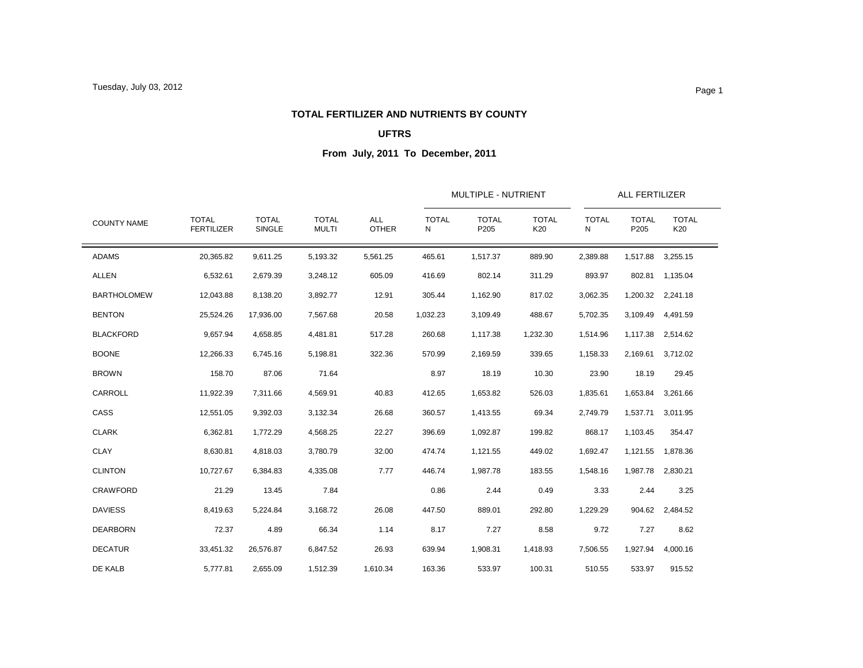#### **TOTAL FERTILIZER AND NUTRIENTS BY COUNTY**

### **UFTRS**

| <b>COUNTY NAME</b> |                                   |                        | <b>TOTAL</b><br><b>MULTI</b> | <b>ALL</b><br><b>OTHER</b> |                   | MULTIPLE - NUTRIENT  |                     |                   | ALL FERTILIZER       |                     |  |
|--------------------|-----------------------------------|------------------------|------------------------------|----------------------------|-------------------|----------------------|---------------------|-------------------|----------------------|---------------------|--|
|                    | <b>TOTAL</b><br><b>FERTILIZER</b> | <b>TOTAL</b><br>SINGLE |                              |                            | <b>TOTAL</b><br>N | <b>TOTAL</b><br>P205 | <b>TOTAL</b><br>K20 | <b>TOTAL</b><br>N | <b>TOTAL</b><br>P205 | <b>TOTAL</b><br>K20 |  |
| <b>ADAMS</b>       | 20,365.82                         | 9,611.25               | 5,193.32                     | 5,561.25                   | 465.61            | 1,517.37             | 889.90              | 2,389.88          | 1,517.88             | 3,255.15            |  |
| <b>ALLEN</b>       | 6,532.61                          | 2,679.39               | 3,248.12                     | 605.09                     | 416.69            | 802.14               | 311.29              | 893.97            | 802.81               | 1,135.04            |  |
| <b>BARTHOLOMEW</b> | 12,043.88                         | 8,138.20               | 3,892.77                     | 12.91                      | 305.44            | 1,162.90             | 817.02              | 3,062.35          |                      | 1,200.32 2,241.18   |  |
| <b>BENTON</b>      | 25,524.26                         | 17,936.00              | 7,567.68                     | 20.58                      | 1,032.23          | 3,109.49             | 488.67              | 5,702.35          | 3,109.49             | 4,491.59            |  |
| <b>BLACKFORD</b>   | 9,657.94                          | 4,658.85               | 4,481.81                     | 517.28                     | 260.68            | 1,117.38             | 1,232.30            | 1,514.96          | 1,117.38             | 2,514.62            |  |
| <b>BOONE</b>       | 12,266.33                         | 6,745.16               | 5,198.81                     | 322.36                     | 570.99            | 2,169.59             | 339.65              | 1,158.33          | 2,169.61             | 3,712.02            |  |
| <b>BROWN</b>       | 158.70                            | 87.06                  | 71.64                        |                            | 8.97              | 18.19                | 10.30               | 23.90             | 18.19                | 29.45               |  |
| CARROLL            | 11,922.39                         | 7,311.66               | 4,569.91                     | 40.83                      | 412.65            | 1,653.82             | 526.03              | 1,835.61          | 1,653.84             | 3,261.66            |  |
| CASS               | 12,551.05                         | 9,392.03               | 3,132.34                     | 26.68                      | 360.57            | 1,413.55             | 69.34               | 2,749.79          | 1,537.71             | 3,011.95            |  |
| <b>CLARK</b>       | 6,362.81                          | 1,772.29               | 4,568.25                     | 22.27                      | 396.69            | 1,092.87             | 199.82              | 868.17            | 1,103.45             | 354.47              |  |
| <b>CLAY</b>        | 8,630.81                          | 4,818.03               | 3,780.79                     | 32.00                      | 474.74            | 1,121.55             | 449.02              | 1,692.47          | 1,121.55             | 1,878.36            |  |
| <b>CLINTON</b>     | 10,727.67                         | 6.384.83               | 4,335.08                     | 7.77                       | 446.74            | 1,987.78             | 183.55              | 1,548.16          | 1,987.78             | 2,830.21            |  |
| <b>CRAWFORD</b>    | 21.29                             | 13.45                  | 7.84                         |                            | 0.86              | 2.44                 | 0.49                | 3.33              | 2.44                 | 3.25                |  |
| <b>DAVIESS</b>     | 8,419.63                          | 5,224.84               | 3,168.72                     | 26.08                      | 447.50            | 889.01               | 292.80              | 1,229.29          | 904.62               | 2,484.52            |  |
| <b>DEARBORN</b>    | 72.37                             | 4.89                   | 66.34                        | 1.14                       | 8.17              | 7.27                 | 8.58                | 9.72              | 7.27                 | 8.62                |  |
| <b>DECATUR</b>     | 33,451.32                         | 26,576.87              | 6,847.52                     | 26.93                      | 639.94            | 1,908.31             | 1,418.93            | 7,506.55          | 1,927.94             | 4,000.16            |  |
| DE KALB            | 5,777.81                          | 2,655.09               | 1,512.39                     | 1,610.34                   | 163.36            | 533.97               | 100.31              | 510.55            | 533.97               | 915.52              |  |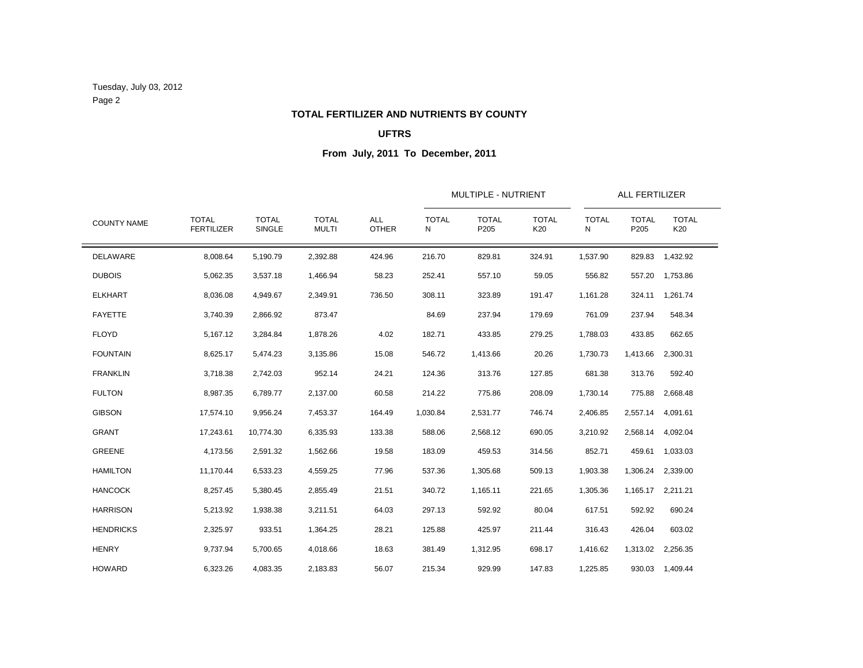Tuesday, July 03, 2012 Page 2

# **TOTAL FERTILIZER AND NUTRIENTS BY COUNTY**

### **UFTRS**

| <b>COUNTY NAME</b> |                                   |                               |                              | <b>ALL</b><br><b>OTHER</b> |                   | MULTIPLE - NUTRIENT  |                     | ALL FERTILIZER    |                      |                     |  |
|--------------------|-----------------------------------|-------------------------------|------------------------------|----------------------------|-------------------|----------------------|---------------------|-------------------|----------------------|---------------------|--|
|                    | <b>TOTAL</b><br><b>FERTILIZER</b> | <b>TOTAL</b><br><b>SINGLE</b> | <b>TOTAL</b><br><b>MULTI</b> |                            | <b>TOTAL</b><br>N | <b>TOTAL</b><br>P205 | <b>TOTAL</b><br>K20 | <b>TOTAL</b><br>Ν | <b>TOTAL</b><br>P205 | <b>TOTAL</b><br>K20 |  |
| DELAWARE           | 8,008.64                          | 5,190.79                      | 2,392.88                     | 424.96                     | 216.70            | 829.81               | 324.91              | 1,537.90          | 829.83               | 1,432.92            |  |
| <b>DUBOIS</b>      | 5,062.35                          | 3,537.18                      | 1,466.94                     | 58.23                      | 252.41            | 557.10               | 59.05               | 556.82            | 557.20               | 1,753.86            |  |
| <b>ELKHART</b>     | 8,036.08                          | 4,949.67                      | 2,349.91                     | 736.50                     | 308.11            | 323.89               | 191.47              | 1,161.28          | 324.11               | 1,261.74            |  |
| <b>FAYETTE</b>     | 3,740.39                          | 2,866.92                      | 873.47                       |                            | 84.69             | 237.94               | 179.69              | 761.09            | 237.94               | 548.34              |  |
| <b>FLOYD</b>       | 5,167.12                          | 3,284.84                      | 1,878.26                     | 4.02                       | 182.71            | 433.85               | 279.25              | 1,788.03          | 433.85               | 662.65              |  |
| <b>FOUNTAIN</b>    | 8,625.17                          | 5,474.23                      | 3,135.86                     | 15.08                      | 546.72            | 1,413.66             | 20.26               | 1,730.73          | 1,413.66             | 2,300.31            |  |
| <b>FRANKLIN</b>    | 3,718.38                          | 2,742.03                      | 952.14                       | 24.21                      | 124.36            | 313.76               | 127.85              | 681.38            | 313.76               | 592.40              |  |
| <b>FULTON</b>      | 8,987.35                          | 6,789.77                      | 2,137.00                     | 60.58                      | 214.22            | 775.86               | 208.09              | 1,730.14          | 775.88               | 2,668.48            |  |
| <b>GIBSON</b>      | 17,574.10                         | 9,956.24                      | 7,453.37                     | 164.49                     | 1,030.84          | 2,531.77             | 746.74              | 2,406.85          | 2,557.14             | 4,091.61            |  |
| <b>GRANT</b>       | 17,243.61                         | 10.774.30                     | 6,335.93                     | 133.38                     | 588.06            | 2,568.12             | 690.05              | 3,210.92          | 2,568.14             | 4,092.04            |  |
| GREENE             | 4,173.56                          | 2,591.32                      | 1,562.66                     | 19.58                      | 183.09            | 459.53               | 314.56              | 852.71            | 459.61               | 1,033.03            |  |
| <b>HAMILTON</b>    | 11,170.44                         | 6,533.23                      | 4,559.25                     | 77.96                      | 537.36            | 1,305.68             | 509.13              | 1,903.38          | 1,306.24             | 2,339.00            |  |
| <b>HANCOCK</b>     | 8,257.45                          | 5,380.45                      | 2,855.49                     | 21.51                      | 340.72            | 1,165.11             | 221.65              | 1,305.36          | 1,165.17             | 2,211.21            |  |
| <b>HARRISON</b>    | 5,213.92                          | 1,938.38                      | 3,211.51                     | 64.03                      | 297.13            | 592.92               | 80.04               | 617.51            | 592.92               | 690.24              |  |
| <b>HENDRICKS</b>   | 2,325.97                          | 933.51                        | 1,364.25                     | 28.21                      | 125.88            | 425.97               | 211.44              | 316.43            | 426.04               | 603.02              |  |
| <b>HENRY</b>       | 9,737.94                          | 5,700.65                      | 4,018.66                     | 18.63                      | 381.49            | 1,312.95             | 698.17              | 1,416.62          | 1,313.02             | 2,256.35            |  |
| <b>HOWARD</b>      | 6,323.26                          | 4.083.35                      | 2,183.83                     | 56.07                      | 215.34            | 929.99               | 147.83              | 1,225.85          |                      | 930.03 1,409.44     |  |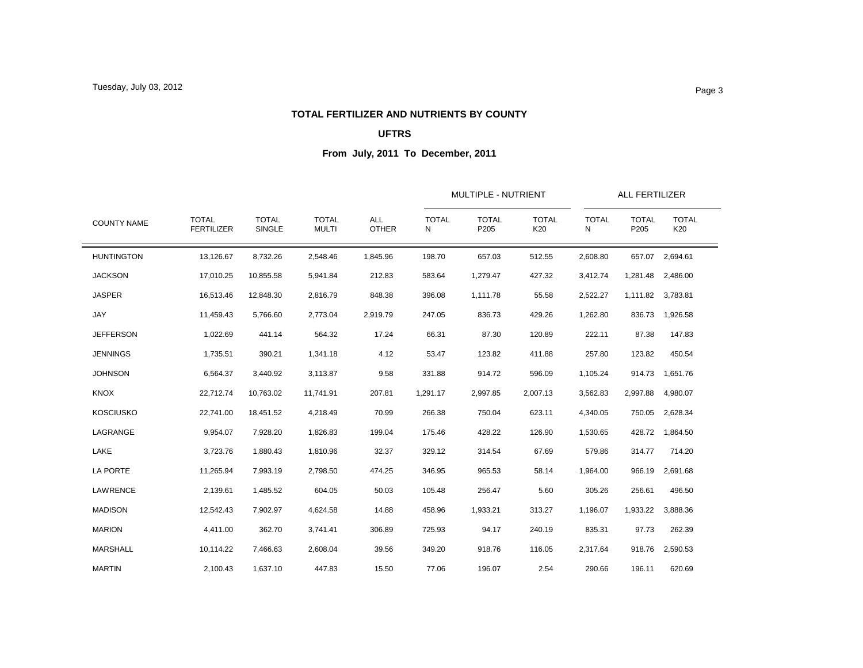#### **TOTAL FERTILIZER AND NUTRIENTS BY COUNTY**

### **UFTRS**

| <b>COUNTY NAME</b> |                                   |                        |                              | <b>ALL</b><br><b>OTHER</b> |                   | MULTIPLE - NUTRIENT  |                     |                   | ALL FERTILIZER       |                     |
|--------------------|-----------------------------------|------------------------|------------------------------|----------------------------|-------------------|----------------------|---------------------|-------------------|----------------------|---------------------|
|                    | <b>TOTAL</b><br><b>FERTILIZER</b> | <b>TOTAL</b><br>SINGLE | <b>TOTAL</b><br><b>MULTI</b> |                            | <b>TOTAL</b><br>N | <b>TOTAL</b><br>P205 | <b>TOTAL</b><br>K20 | <b>TOTAL</b><br>N | <b>TOTAL</b><br>P205 | <b>TOTAL</b><br>K20 |
| <b>HUNTINGTON</b>  | 13,126.67                         | 8,732.26               | 2,548.46                     | 1,845.96                   | 198.70            | 657.03               | 512.55              | 2,608.80          | 657.07               | 2,694.61            |
| <b>JACKSON</b>     | 17,010.25                         | 10,855.58              | 5,941.84                     | 212.83                     | 583.64            | 1,279.47             | 427.32              | 3,412.74          | 1,281.48             | 2,486.00            |
| <b>JASPER</b>      | 16,513.46                         | 12,848.30              | 2,816.79                     | 848.38                     | 396.08            | 1,111.78             | 55.58               | 2,522.27          |                      | 1,111.82 3,783.81   |
| <b>JAY</b>         | 11,459.43                         | 5,766.60               | 2,773.04                     | 2,919.79                   | 247.05            | 836.73               | 429.26              | 1,262.80          | 836.73               | 1,926.58            |
| <b>JEFFERSON</b>   | 1,022.69                          | 441.14                 | 564.32                       | 17.24                      | 66.31             | 87.30                | 120.89              | 222.11            | 87.38                | 147.83              |
| <b>JENNINGS</b>    | 1,735.51                          | 390.21                 | 1,341.18                     | 4.12                       | 53.47             | 123.82               | 411.88              | 257.80            | 123.82               | 450.54              |
| <b>JOHNSON</b>     | 6,564.37                          | 3,440.92               | 3,113.87                     | 9.58                       | 331.88            | 914.72               | 596.09              | 1,105.24          | 914.73               | 1,651.76            |
| <b>KNOX</b>        | 22,712.74                         | 10,763.02              | 11,741.91                    | 207.81                     | 1,291.17          | 2,997.85             | 2,007.13            | 3,562.83          | 2,997.88             | 4,980.07            |
| <b>KOSCIUSKO</b>   | 22,741.00                         | 18,451.52              | 4,218.49                     | 70.99                      | 266.38            | 750.04               | 623.11              | 4,340.05          | 750.05               | 2,628.34            |
| LAGRANGE           | 9,954.07                          | 7,928.20               | 1,826.83                     | 199.04                     | 175.46            | 428.22               | 126.90              | 1,530.65          | 428.72               | 1,864.50            |
| LAKE               | 3,723.76                          | 1,880.43               | 1,810.96                     | 32.37                      | 329.12            | 314.54               | 67.69               | 579.86            | 314.77               | 714.20              |
| LA PORTE           | 11,265.94                         | 7,993.19               | 2,798.50                     | 474.25                     | 346.95            | 965.53               | 58.14               | 1,964.00          | 966.19               | 2,691.68            |
| LAWRENCE           | 2,139.61                          | 1,485.52               | 604.05                       | 50.03                      | 105.48            | 256.47               | 5.60                | 305.26            | 256.61               | 496.50              |
| <b>MADISON</b>     | 12,542.43                         | 7,902.97               | 4,624.58                     | 14.88                      | 458.96            | 1,933.21             | 313.27              | 1,196.07          | 1,933.22             | 3,888.36            |
| <b>MARION</b>      | 4,411.00                          | 362.70                 | 3,741.41                     | 306.89                     | 725.93            | 94.17                | 240.19              | 835.31            | 97.73                | 262.39              |
| MARSHALL           | 10,114.22                         | 7,466.63               | 2,608.04                     | 39.56                      | 349.20            | 918.76               | 116.05              | 2,317.64          | 918.76               | 2,590.53            |
| <b>MARTIN</b>      | 2,100.43                          | 1,637.10               | 447.83                       | 15.50                      | 77.06             | 196.07               | 2.54                | 290.66            | 196.11               | 620.69              |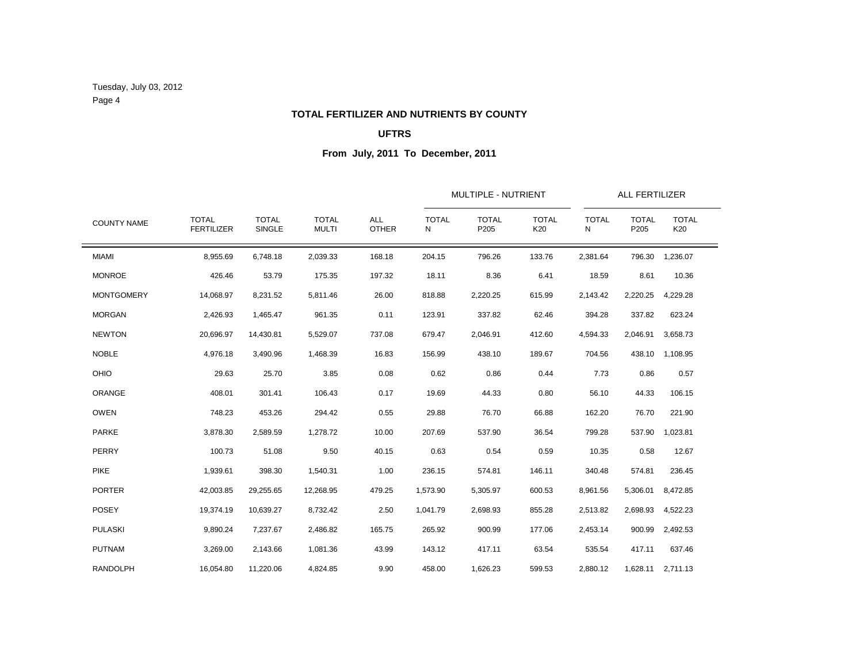Tuesday, July 03, 2012 Page 4

# **TOTAL FERTILIZER AND NUTRIENTS BY COUNTY**

### **UFTRS**

| <b>COUNTY NAME</b> |                                   |                               |                              | <b>ALL</b><br><b>OTHER</b> |                   | MULTIPLE - NUTRIENT  |                     | ALL FERTILIZER    |                      |                     |  |
|--------------------|-----------------------------------|-------------------------------|------------------------------|----------------------------|-------------------|----------------------|---------------------|-------------------|----------------------|---------------------|--|
|                    | <b>TOTAL</b><br><b>FERTILIZER</b> | <b>TOTAL</b><br><b>SINGLE</b> | <b>TOTAL</b><br><b>MULTI</b> |                            | <b>TOTAL</b><br>N | <b>TOTAL</b><br>P205 | <b>TOTAL</b><br>K20 | <b>TOTAL</b><br>Ν | <b>TOTAL</b><br>P205 | <b>TOTAL</b><br>K20 |  |
| <b>MIAMI</b>       | 8,955.69                          | 6,748.18                      | 2,039.33                     | 168.18                     | 204.15            | 796.26               | 133.76              | 2,381.64          | 796.30               | 1,236.07            |  |
| <b>MONROE</b>      | 426.46                            | 53.79                         | 175.35                       | 197.32                     | 18.11             | 8.36                 | 6.41                | 18.59             | 8.61                 | 10.36               |  |
| <b>MONTGOMERY</b>  | 14,068.97                         | 8,231.52                      | 5,811.46                     | 26.00                      | 818.88            | 2,220.25             | 615.99              | 2,143.42          | 2,220.25             | 4,229.28            |  |
| <b>MORGAN</b>      | 2,426.93                          | 1,465.47                      | 961.35                       | 0.11                       | 123.91            | 337.82               | 62.46               | 394.28            | 337.82               | 623.24              |  |
| <b>NEWTON</b>      | 20,696.97                         | 14,430.81                     | 5,529.07                     | 737.08                     | 679.47            | 2,046.91             | 412.60              | 4,594.33          | 2,046.91             | 3,658.73            |  |
| <b>NOBLE</b>       | 4,976.18                          | 3,490.96                      | 1,468.39                     | 16.83                      | 156.99            | 438.10               | 189.67              | 704.56            | 438.10               | 1,108.95            |  |
| <b>OHIO</b>        | 29.63                             | 25.70                         | 3.85                         | 0.08                       | 0.62              | 0.86                 | 0.44                | 7.73              | 0.86                 | 0.57                |  |
| ORANGE             | 408.01                            | 301.41                        | 106.43                       | 0.17                       | 19.69             | 44.33                | 0.80                | 56.10             | 44.33                | 106.15              |  |
| <b>OWEN</b>        | 748.23                            | 453.26                        | 294.42                       | 0.55                       | 29.88             | 76.70                | 66.88               | 162.20            | 76.70                | 221.90              |  |
| <b>PARKE</b>       | 3,878.30                          | 2,589.59                      | 1,278.72                     | 10.00                      | 207.69            | 537.90               | 36.54               | 799.28            | 537.90               | 1.023.81            |  |
| PERRY              | 100.73                            | 51.08                         | 9.50                         | 40.15                      | 0.63              | 0.54                 | 0.59                | 10.35             | 0.58                 | 12.67               |  |
| <b>PIKE</b>        | 1,939.61                          | 398.30                        | 1,540.31                     | 1.00                       | 236.15            | 574.81               | 146.11              | 340.48            | 574.81               | 236.45              |  |
| <b>PORTER</b>      | 42,003.85                         | 29,255.65                     | 12,268.95                    | 479.25                     | 1,573.90          | 5,305.97             | 600.53              | 8,961.56          | 5,306.01             | 8,472.85            |  |
| <b>POSEY</b>       | 19,374.19                         | 10,639.27                     | 8,732.42                     | 2.50                       | 1,041.79          | 2,698.93             | 855.28              | 2,513.82          | 2,698.93             | 4,522.23            |  |
| <b>PULASKI</b>     | 9,890.24                          | 7,237.67                      | 2,486.82                     | 165.75                     | 265.92            | 900.99               | 177.06              | 2,453.14          | 900.99               | 2,492.53            |  |
| <b>PUTNAM</b>      | 3,269.00                          | 2,143.66                      | 1,081.36                     | 43.99                      | 143.12            | 417.11               | 63.54               | 535.54            | 417.11               | 637.46              |  |
| <b>RANDOLPH</b>    | 16,054.80                         | 11,220.06                     | 4,824.85                     | 9.90                       | 458.00            | 1,626.23             | 599.53              | 2,880.12          |                      | 1,628.11 2,711.13   |  |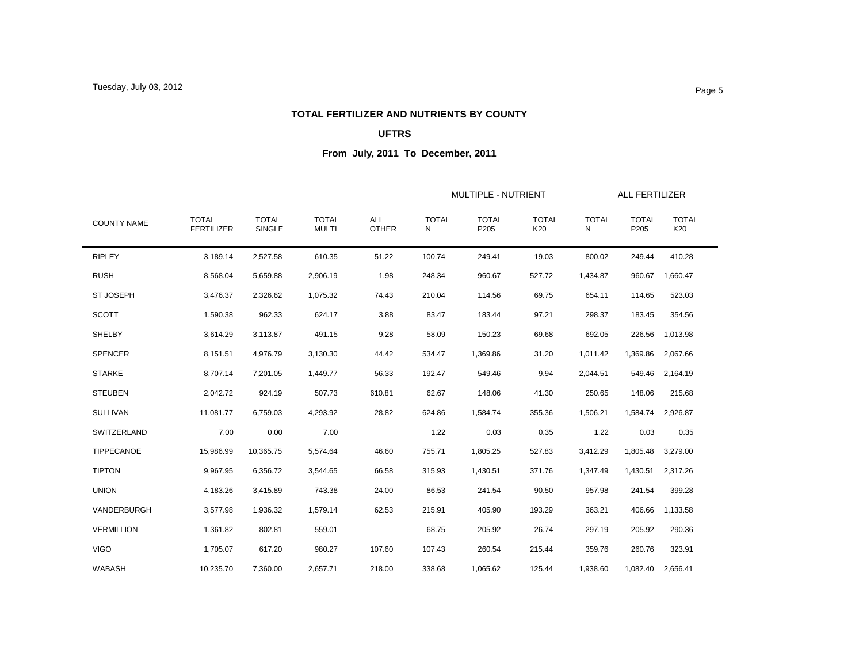#### **TOTAL FERTILIZER AND NUTRIENTS BY COUNTY**

### **UFTRS**

| <b>COUNTY NAME</b> |                                   |                               | <b>TOTAL</b><br><b>MULTI</b> | <b>ALL</b><br><b>OTHER</b> |                   | <b>MULTIPLE - NUTRIENT</b> |                     |                   | <b>ALL FERTILIZER</b> |                     |  |
|--------------------|-----------------------------------|-------------------------------|------------------------------|----------------------------|-------------------|----------------------------|---------------------|-------------------|-----------------------|---------------------|--|
|                    | <b>TOTAL</b><br><b>FERTILIZER</b> | <b>TOTAL</b><br><b>SINGLE</b> |                              |                            | <b>TOTAL</b><br>N | <b>TOTAL</b><br>P205       | <b>TOTAL</b><br>K20 | <b>TOTAL</b><br>N | <b>TOTAL</b><br>P205  | <b>TOTAL</b><br>K20 |  |
| <b>RIPLEY</b>      | 3,189.14                          | 2,527.58                      | 610.35                       | 51.22                      | 100.74            | 249.41                     | 19.03               | 800.02            | 249.44                | 410.28              |  |
| <b>RUSH</b>        | 8,568.04                          | 5,659.88                      | 2,906.19                     | 1.98                       | 248.34            | 960.67                     | 527.72              | 1,434.87          | 960.67                | 1,660.47            |  |
| ST JOSEPH          | 3,476.37                          | 2,326.62                      | 1,075.32                     | 74.43                      | 210.04            | 114.56                     | 69.75               | 654.11            | 114.65                | 523.03              |  |
| <b>SCOTT</b>       | 1,590.38                          | 962.33                        | 624.17                       | 3.88                       | 83.47             | 183.44                     | 97.21               | 298.37            | 183.45                | 354.56              |  |
| SHELBY             | 3,614.29                          | 3,113.87                      | 491.15                       | 9.28                       | 58.09             | 150.23                     | 69.68               | 692.05            | 226.56                | 1,013.98            |  |
| <b>SPENCER</b>     | 8,151.51                          | 4,976.79                      | 3,130.30                     | 44.42                      | 534.47            | 1,369.86                   | 31.20               | 1,011.42          | 1,369.86              | 2,067.66            |  |
| <b>STARKE</b>      | 8,707.14                          | 7,201.05                      | 1,449.77                     | 56.33                      | 192.47            | 549.46                     | 9.94                | 2,044.51          | 549.46                | 2,164.19            |  |
| <b>STEUBEN</b>     | 2,042.72                          | 924.19                        | 507.73                       | 610.81                     | 62.67             | 148.06                     | 41.30               | 250.65            | 148.06                | 215.68              |  |
| <b>SULLIVAN</b>    | 11,081.77                         | 6,759.03                      | 4,293.92                     | 28.82                      | 624.86            | 1,584.74                   | 355.36              | 1,506.21          | 1,584.74              | 2,926.87            |  |
| SWITZERLAND        | 7.00                              | 0.00                          | 7.00                         |                            | 1.22              | 0.03                       | 0.35                | 1.22              | 0.03                  | 0.35                |  |
| <b>TIPPECANOE</b>  | 15,986.99                         | 10,365.75                     | 5,574.64                     | 46.60                      | 755.71            | 1,805.25                   | 527.83              | 3,412.29          | 1,805.48              | 3,279.00            |  |
| <b>TIPTON</b>      | 9,967.95                          | 6,356.72                      | 3,544.65                     | 66.58                      | 315.93            | 1,430.51                   | 371.76              | 1,347.49          | 1,430.51              | 2.317.26            |  |
| <b>UNION</b>       | 4,183.26                          | 3,415.89                      | 743.38                       | 24.00                      | 86.53             | 241.54                     | 90.50               | 957.98            | 241.54                | 399.28              |  |
| VANDERBURGH        | 3,577.98                          | 1,936.32                      | 1,579.14                     | 62.53                      | 215.91            | 405.90                     | 193.29              | 363.21            | 406.66                | 1,133.58            |  |
| <b>VERMILLION</b>  | 1,361.82                          | 802.81                        | 559.01                       |                            | 68.75             | 205.92                     | 26.74               | 297.19            | 205.92                | 290.36              |  |
| <b>VIGO</b>        | 1,705.07                          | 617.20                        | 980.27                       | 107.60                     | 107.43            | 260.54                     | 215.44              | 359.76            | 260.76                | 323.91              |  |
| WABASH             | 10,235.70                         | 7,360.00                      | 2,657.71                     | 218.00                     | 338.68            | 1,065.62                   | 125.44              | 1,938.60          |                       | 1,082.40 2,656.41   |  |